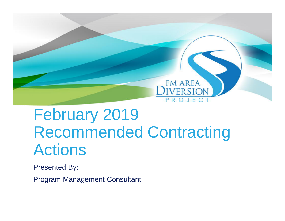

# February 2019 Recommended Contracting Actions

Presented By:

Program Management Consultant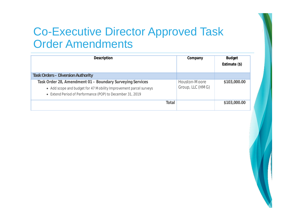

### Co-Executive Director Approved Task Order Amendments

| Description                                                                                                                                                                                 | Company                           | <b>Budget</b><br>Estimate (\$) |
|---------------------------------------------------------------------------------------------------------------------------------------------------------------------------------------------|-----------------------------------|--------------------------------|
| <b>Task Orders - Diversion Authority</b>                                                                                                                                                    |                                   |                                |
| Task Order 28, Amendment 01 - Boundary Surveying Services<br>• Add scope and budget for 47 Mobility Improvement parcel surveys<br>• Extend Period of Performance (POP) to December 31, 2019 | Houston-Moore<br>Group, LLC (HMG) | \$103,000.00                   |
| Total                                                                                                                                                                                       |                                   | \$103,000.00                   |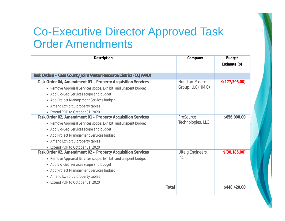

### Co-Executive Director Approved Task Order Amendments

| Description                                                      | Company                  | <b>Budget</b>  |
|------------------------------------------------------------------|--------------------------|----------------|
|                                                                  |                          | Estimate (\$)  |
|                                                                  |                          |                |
| Task Orders - Cass County Joint Water Resource District (CCJWRD) |                          |                |
| Task Order 04, Amendment 03 – Property Acquisition Services      | Houston-Moore            | \$(177,395.00) |
| • Remove Appraisal Services scope, Exhibit, and unspent budget   | Group, LLC (HMG)         |                |
| • Add Bio-Geo Services scope and budget                          |                          |                |
| • Add Project Management Services budget                         |                          |                |
| • Amend Exhibit B property tables                                |                          |                |
| • Extend POP to October 31, 2020                                 |                          |                |
| Task Order 02, Amendment 01 – Property Acquisition Services      | ProSource                | \$656,000.00   |
| • Remove Appraisal Services scope, Exhibit, and unspent budget   | Technologies, LLC        |                |
| • Add Bio-Geo Services scope and budget                          |                          |                |
| • Add Project Management Services budget                         |                          |                |
| • Amend Exhibit B property tables                                |                          |                |
| • Extend POP to October 31, 2020                                 |                          |                |
| Task Order 02, Amendment 02 - Property Acquisition Services      | <b>Ulteig Engineers,</b> | \$(30, 185.00) |
| • Remove Appraisal Services scope, Exhibit, and unspent budget   | Inc.                     |                |
| • Add Bio-Geo Services scope and budget                          |                          |                |
| • Add Project Management Services budget                         |                          |                |
| • Amend Exhibit B property tables                                |                          |                |
| • Extend POP to October 31, 2020                                 |                          |                |
| Total                                                            |                          | \$448,420.00   |
|                                                                  |                          |                |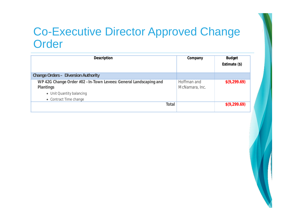

#### Co-Executive Director Approved Change **Order**

| Description                                                                                                                           |       | Company                       | <b>Budget</b><br>Estimate (\$) |
|---------------------------------------------------------------------------------------------------------------------------------------|-------|-------------------------------|--------------------------------|
| Change Orders - Diversion Authority                                                                                                   |       |                               |                                |
| WP 42G Change Order #02 - In-Town Levees: General Landscaping and<br>Plantings<br>• Unit Quantity balancing<br>• Contract Time change |       | Hoffman and<br>McNamara, Inc. | \$(9,299.69)                   |
|                                                                                                                                       | Total |                               | \$(9,299.69)                   |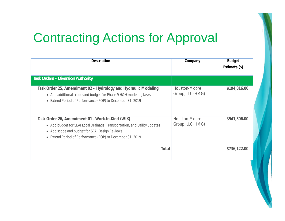

## Contracting Actions for Approval

| Description                                                                                                                                                                                                                                  | Company                           | <b>Budget</b><br>Estimate (\$) |
|----------------------------------------------------------------------------------------------------------------------------------------------------------------------------------------------------------------------------------------------|-----------------------------------|--------------------------------|
| <b>Task Orders - Diversion Authority</b>                                                                                                                                                                                                     |                                   |                                |
| Task Order 25, Amendment 02 – Hydrology and Hydraulic Modeling<br>• Add additional scope and budget for Phase 9 H&H modeling tasks<br>• Extend Period of Performance (POP) to December 31, 2019                                              | Houston-Moore<br>Group, LLC (HMG) | \$194,816.00                   |
| Task Order 26, Amendment 01 – Work-In-Kind (WIK)<br>• Add budget for SEAI Local Drainage, Transportation, and Utility updates<br>• Add scope and budget for SEAI Design Reviews<br>• Extend Period of Performance (POP) to December 31, 2019 | Houston-Moore<br>Group, LLC (HMG) | \$541,306.00                   |
| Total                                                                                                                                                                                                                                        |                                   | \$736,122.00                   |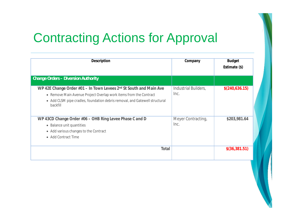

## Contracting Actions for Approval

| Description                                                                                                                                                                                                                        | Company                      | <b>Budget</b><br>Estimate (\$) |
|------------------------------------------------------------------------------------------------------------------------------------------------------------------------------------------------------------------------------------|------------------------------|--------------------------------|
| <b>Change Orders - Diversion Authority</b>                                                                                                                                                                                         |                              |                                |
| WP 42E Change Order #01 – In Town Levees 2nd St South and Main Ave<br>• Remove Main Avenue Project Overlap work items from the Contract<br>• Add CLSM pipe cradles, foundation debris removal, and Gatewell structural<br>backfill | Industrial Builders,<br>Inc. | \$(240,636.15)                 |
| WP 43CD Change Order #06 - OHB Ring Levee Phase C and D<br>• Balance unit quantities<br>• Add various changes to the Contract<br>• Add Contract Time                                                                               | Meyer Contracting,<br>Inc.   | \$203,981.64                   |
| Total                                                                                                                                                                                                                              |                              | \$(36,381.51)                  |